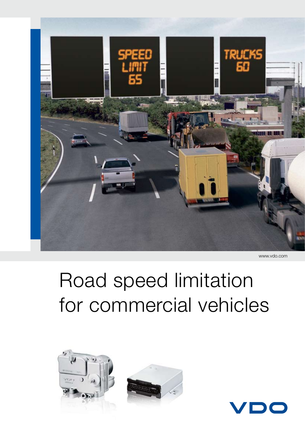

www.vdo.com

# Road speed limitation for commercial vehicles





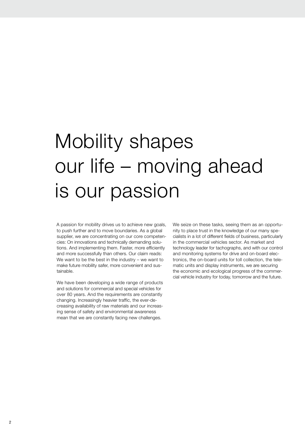# Mobility shapes our life – moving ahead is our passion

A passion for mobility drives us to achieve new goals, to push further and to move boundaries. As a global supplier, we are concentrating on our core competencies: On innovations and technically demanding solutions. And implementing them. Faster, more efficiently and more successfully than others. Our claim reads: We want to be the best in the industry – we want to make future mobility safer, more convenient and sustainable.

We have been developing a wide range of products and solutions for commercial and special vehicles for over 80 years. And the requirements are constantly changing. Increasingly heavier traffic, the ever-decreasing availability of raw materials and our increasing sense of safety and environmental awareness mean that we are constantly facing new challenges.

We seize on these tasks, seeing them as an opportunity to place trust in the knowledge of our many specialists in a lot of different fields of business, particularly in the commercial vehicles sector. As market and technology leader for tachographs, and with our control and monitoring systems for drive and on-board electronics, the on-board units for toll collection, the telematic units and display instruments, we are securing the economic and ecological progress of the commercial vehicle industry for today, tomorrow and the future.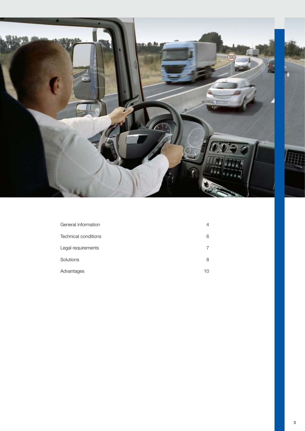

| General information  | $\overline{4}$ |
|----------------------|----------------|
|                      |                |
| Technical conditions | 6              |
| Legal requirements   | 7              |
| Solutions            | 8              |
| Advantages           | 10             |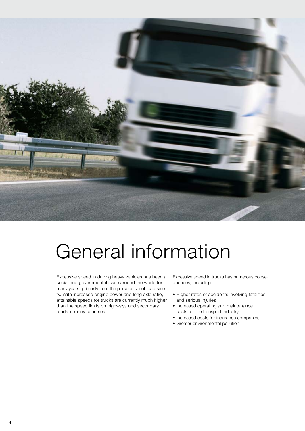

## General information

Excessive speed in driving heavy vehicles has been a social and governmental issue around the world for many years, primarily from the perspective of road safety. With increased engine power and long axle ratio, attainable speeds for trucks are currently much higher than the speed limits on highways and secondary roads in many countries.

Excessive speed in trucks has numerous consequences, including:

- Higher rates of accidents involving fatalities and serious injuries
- Increased operating and maintenance costs for the transport industry
- Increased costs for insurance companies
- Greater environmental pollution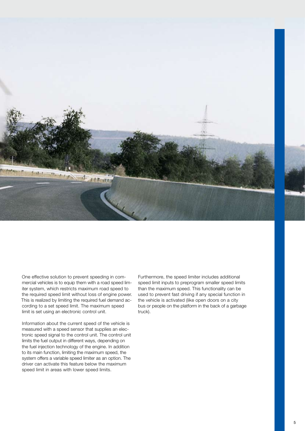

One effective solution to prevent speeding in commercial vehicles is to equip them with a road speed limiter system, which restricts maximum road speed to the required speed limit without loss of engine power. This is realized by limiting the required fuel demand according to a set speed limit. The maximum speed limit is set using an electronic control unit.

Information about the current speed of the vehicle is measured with a speed sensor that supplies an electronic speed signal to the control unit. The control unit limits the fuel output in different ways, depending on the fuel injection technology of the engine. In addition to its main function, limiting the maximum speed, the system offers a variable speed limiter as an option. The driver can activate this feature below the maximum speed limit in areas with lower speed limits.

Furthermore, the speed limiter includes additional speed limit inputs to preprogram smaller speed limits than the maximum speed. This functionality can be used to prevent fast driving if any special function in the vehicle is activated (like open doors on a city bus or people on the platform in the back of a garbage truck).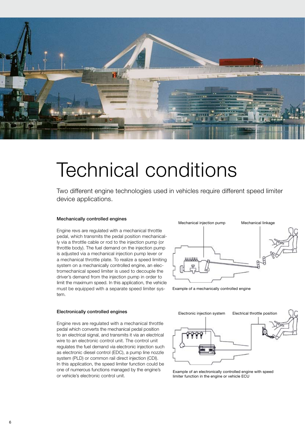

## Technical conditions

Two different engine technologies used in vehicles require different speed limiter device applications.

#### Mechanically controlled engines

Engine revs are regulated with a mechanical throttle pedal, which transmits the pedal position mechanically via a throttle cable or rod to the injection pump (or throttle body). The fuel demand on the injection pump is adjusted via a mechanical injection pump lever or a mechanical throttle plate. To realize a speed limiting system on a mechanically controlled engine, an electromechanical speed limiter is used to decouple the driver's demand from the injection pump in order to limit the maximum speed. In this application, the vehicle must be equipped with a separate speed limiter system.



Example of a mechanically controlled engine

#### Electronically controlled engines

Engine revs are regulated with a mechanical throttle pedal which converts the mechanical pedal position to an electrical signal, and transmits it via an electrical wire to an electronic control unit. The control unit regulates the fuel demand via electronic injection such as electronic diesel control (EDC), a pump line nozzle system (PLD) or common rail direct injection (CDI). In this application, the speed limiter function could be one of numerous functions managed by the engine's or vehicle's electronic control unit.



Example of an electronically controlled engine with speed limiter function in the engine or vehicle ECU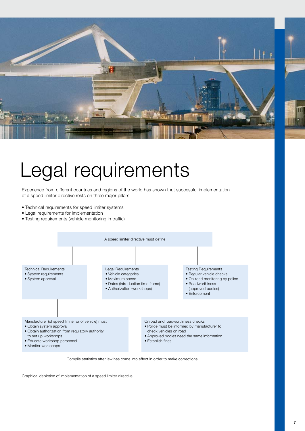

# Legal requirements

Experience from different countries and regions of the world has shown that successful implementation of a speed limiter directive rests on three major pillars:

- Technical requirements for speed limiter systems
- • Legal requirements for implementation
- • Testing requirements (vehicle monitoring in traffic)





Graphical depiction of implementation of a speed limiter directive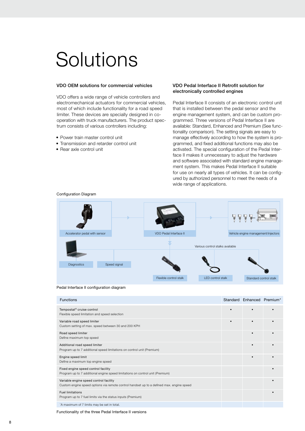## **Solutions**

#### VDO OEM solutions for commercial vehicles

VDO offers a wide range of vehicle controllers and electromechanical actuators for commercial vehicles, most of which include functionality for a road speed limiter. These devices are specially designed in cooperation with truck manufacturers. The product spectrum consists of various controllers including:

- Power train master control unit
- Transmission and retarder control unit
- • Rear axle control unit

### VDO Pedal Interface II Retrofit solution for electronically controlled engines

Pedal Interface II consists of an electronic control unit that is installed between the pedal sensor and the engine management system, and can be custom programmed. Three versions of Pedal Interface II are available: Standard, Enhanced and Premium (See functionality comparison). The setting signals are easy to manage effectively according to how the system is programmed, and fixed additional functions may also be activated. The special configuration of the Pedal Interface II makes it unnecessary to adjust the hardware and software associated with standard engine management system. This makes Pedal Interface II suitable for use on nearly all types of vehicles. It can be configured by authorized personnel to meet the needs of a wide range of applications.



Configuration Diagram



| <b>Functions</b>                                                                                                                   | Standard Enhanced Premium* |  |
|------------------------------------------------------------------------------------------------------------------------------------|----------------------------|--|
| Tempostat <sup>®</sup> cruise control<br>Flexible speed limitation and speed selection                                             |                            |  |
| Variable road speed limiter<br>Custom setting of max. speed between 30 and 200 KPH                                                 |                            |  |
| Road speed limiter<br>Define maximum top speed                                                                                     |                            |  |
| Additional road speed limiter<br>Program up to 7 additional speed limitations on control unit (Premium)                            |                            |  |
| Engine speed limit<br>Define a maximum top engine speed                                                                            | $\bullet$                  |  |
| Fixed engine speed control facility<br>Program up to 7 additional engine speed limitations on control unit (Premium)               |                            |  |
| Variable engine speed control facility<br>Custom engine speed options via remote control handset up to a defined max. engine speed |                            |  |
| <b>Fuel limitations</b><br>Program up to 7 fuel limits via the status inputs (Premium)                                             |                            |  |
| *A maximum of 7 limits may be set in total.                                                                                        |                            |  |

Functionality of the three Pedal Interface II versions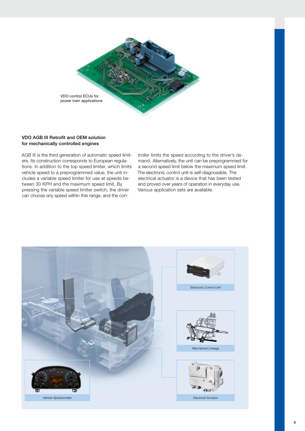

### VDO AGB III Retrofit and OEM solution for mechanically controlled engines

AGB III is the third generation of automatic speed limiters. Its construction corresponds to European regulations. In addition to the top speed limiter, which limits vehicle speed to a preprogrammed value, the unit includes a variable speed limiter for use at speeds between 30 KPH and the maximum speed limit. By pressing the variable speed limiter switch, the driver can choose any speed within this range, and the controller limits the speed according to the driver's demand. Alternatively, the unit can be preprogrammed for a second speed limit below the maximum speed limit. The electronic control unit is self-diagnosable. The electrical actuator is a device that has been tested and proved over years of operation in everyday use. Various application sets are available.

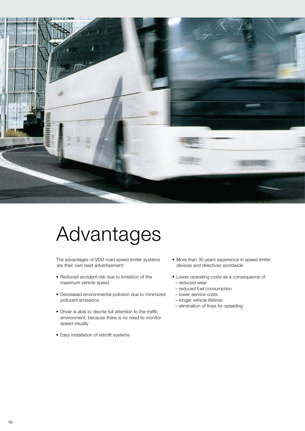

### Advantages

The advantages of VDO road speed limiter systems are their own best advertisement:

- • Reduced accident risk due to limitation of the maximum vehicle speed
- Decreased environmental pollution due to minimized pollutant emissions
- Driver is able to devote full attention to the traffic environment, because there is no need to monitor speed visually
- • Easy installation of retrofit systems
- More than 30 years experience in speed limiter devices and directives worldwide
- • Lower operating costs as a consequence of – reduced wear
- reduced fuel consumption
- lower service costs
- longer vehicle lifetime
- elimination of fines for speeding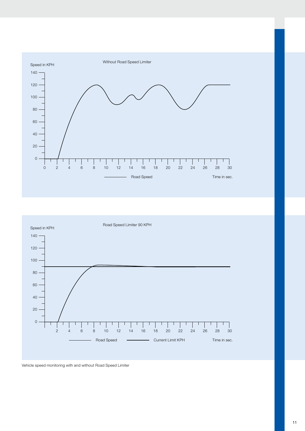



Vehicle speed monitoring with and without Road Speed Limiter